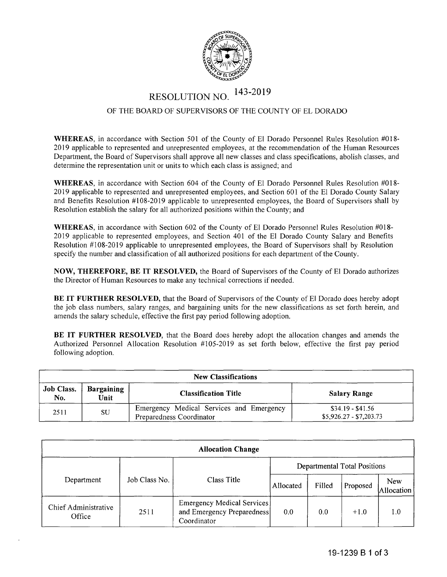

## RESOLUTION NO. 143-2019

## OF THE BOARD OF SUPERVISORS OF THE COUNTY OF EL DORADO

**WHEREAS,** in accordance with Section 501 of the County of El Dorado Personnel Rules Resolution #018- 2019 applicable to represented and unrepresented employees, at the recommendation of the Human Resources Department, the Board of Supervisors shall approve all new classes and class specifications, abolish classes, and determine the representation unit or units to which each class is assigned; and

**WHEREAS,** in accordance with Section 604 of the County of El Dorado Personnel Rules Resolution #018- 2019 applicable to represented and unrepresented employees, and Section 601 of the El Dorado County Salary and Benefits Resolution #108-2019 applicable to unrepresented employees, the Board of Supervisors shall by Resolution establish the salary for all authorized positions within the County; and

**WHEREAS,** in accordance with Section 602 of the County of El Dorado Personnel Rules Resolution #018- 2019 applicable to represented employees, and Section 401 of the El Dorado County Salary and Benefits Resolution #108-2019 applicable to unrepresented employees, the Board of Supervisors shall by Resolution specify the number and classification of all authorized positions for each department of the County.

**NOW, THEREFORE, BE IT RESOLVED,** the Board of Supervisors of the County of El Dorado authorizes the Director of Human Resources to make any technical corrections if needed.

**BE IT FURTHER RESOLVED,** that the Board of Supervisors of the County of El Dorado does hereby adopt the job class numbers, salary ranges, and bargaining units for the new classifications as set forth herein, and amends the salary schedule, effective the first pay period following adoption.

**BE IT FURTHER RESOLVED,** that the Board does hereby adopt the allocation changes and amends the Authorized Personnel Allocation Resolution #105-2019 as set forth below, effective the first pay period following adoption.

| <b>New Classifications</b> |                           |                                                                      |                                              |  |  |  |  |
|----------------------------|---------------------------|----------------------------------------------------------------------|----------------------------------------------|--|--|--|--|
| <b>Job Class.</b><br>No.   | <b>Bargaining</b><br>Unit | <b>Classification Title</b>                                          | <b>Salary Range</b>                          |  |  |  |  |
| 2511                       | SU                        | Emergency Medical Services and Emergency<br>Preparedness Coordinator | $$34.19 - $41.56$<br>$$5,926.27 - $7,203.73$ |  |  |  |  |

| <b>Allocation Change</b>       |               |                                                                         |                                     |        |          |                   |  |  |  |  |
|--------------------------------|---------------|-------------------------------------------------------------------------|-------------------------------------|--------|----------|-------------------|--|--|--|--|
|                                | Job Class No. | Class Title                                                             | <b>Departmental Total Positions</b> |        |          |                   |  |  |  |  |
| Department                     |               |                                                                         | Allocated                           | Filled | Proposed | New<br>Allocation |  |  |  |  |
| Chief Administrative<br>Office | 2511          | Emergency Medical Services<br>and Emergency Preparedness<br>Coordinator | 0.0                                 | 0.0    | $+1.0$   | 1.0               |  |  |  |  |